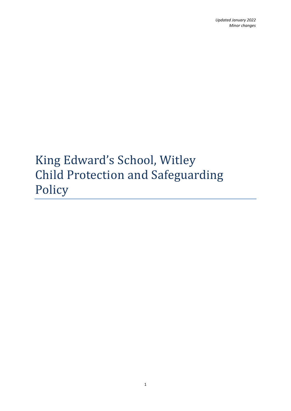# King Edward's School, Witley Child Protection and Safeguarding Policy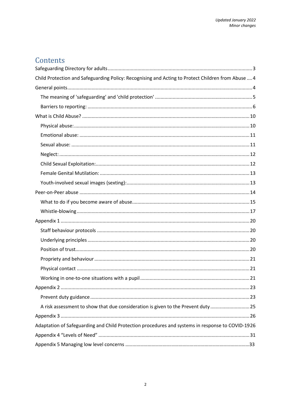## Contents

| Child Protection and Safeguarding Policy: Recognising and Acting to Protect Children from Abuse  4 |
|----------------------------------------------------------------------------------------------------|
|                                                                                                    |
|                                                                                                    |
|                                                                                                    |
|                                                                                                    |
|                                                                                                    |
|                                                                                                    |
|                                                                                                    |
|                                                                                                    |
|                                                                                                    |
|                                                                                                    |
|                                                                                                    |
|                                                                                                    |
|                                                                                                    |
|                                                                                                    |
|                                                                                                    |
|                                                                                                    |
|                                                                                                    |
|                                                                                                    |
|                                                                                                    |
|                                                                                                    |
|                                                                                                    |
|                                                                                                    |
|                                                                                                    |
| A risk assessment to show that due consideration is given to the Prevent duty25                    |
|                                                                                                    |
| Adaptation of Safeguarding and Child Protection procedures and systems in response to COVID-1926   |
|                                                                                                    |
|                                                                                                    |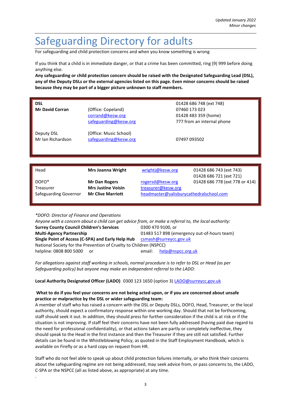## <span id="page-2-0"></span>Safeguarding Directory for adults

For safeguarding and child protection concerns and when you know something is wrong

If you think that a child is in immediate danger, or that a crime has been committed, ring (9) 999 before doing anything else.

**Any safeguarding or child protection concern should be raised with the Designated Safeguarding Lead (DSL), any of the Deputy DSLs or the external agencies listed on this page. Even minor concerns should be raised because they may be part of a bigger picture unknown to staff members.** 

| <b>DSL</b><br><b>Mr David Corran</b> | (Office: Copeland)<br>corrand@kesw.org<br>safeguarding@kesw.org | 01428 686 748 (ext 748)<br>07460 173 023<br>01428 483 359 (home)<br>777 from an internal phone |
|--------------------------------------|-----------------------------------------------------------------|------------------------------------------------------------------------------------------------|
| Deputy DSL<br>Mr Jan Richardson      | (Office: Music School)<br>safeguarding@kesw.org                 | 07497 093502                                                                                   |
| Head                                 | <b>Mrs Joanna Wright</b>                                        | 01428 686 743 (ext 743)<br>wrightj@kesw.org                                                    |
|                                      |                                                                 | 01428 686 721 (ext 721)                                                                        |
| DOFO <sup>*</sup><br>Treasurer       | Mr Dan Rogers<br><b>Mrs Justine Voisin</b>                      | 01428 686 778 (ext 778 or 414)<br>rogersd@kesw.org<br>treasurer@kesw.org                       |
| Safeguarding Governor                | <b>Mr Clive Marriott</b>                                        | headmaster@salisburycathedralschool.com                                                        |

*\*DOFO: Director of Finance and Operations*

.

| Anyone with a concern about a child can get advice from, or make a referral to, the local authority: |                                             |  |  |  |
|------------------------------------------------------------------------------------------------------|---------------------------------------------|--|--|--|
| <b>Surrey County Council Children's Services</b>                                                     | 0300 470 9100, or                           |  |  |  |
| <b>Multi-Agency Partnership</b>                                                                      | 01483 517 898 (emergency out-of-hours team) |  |  |  |
| Single Point of Access (C-SPA) and Early Help Hub                                                    | csmash@surreycc.gov.uk                      |  |  |  |
| National Society for the Prevention of Cruelty to Children (NSPCC)                                   |                                             |  |  |  |
| helpline: 0808 800 5000 or                                                                           | help@nspcc.org.uk<br>email:                 |  |  |  |

*For allegations against staff working in schools, normal procedure is to refer to DSL or Head (as per Safeguarding policy) but anyone may make an independent referral to the LADO:*

#### **Local Authority Designated Officer (LADO)** 0300 123 1650 (option 3) [LADO@surreycc.gov.uk](mailto:LADO@surreycc.gov.uk)

#### **What to do if you feel your concerns are not being acted upon, or if you are concerned about unsafe practice or malpractice by the DSL or wider safeguarding team:**

A member of staff who has raised a concern with the DSL or Deputy DSLs, DOFO, Head, Treasurer, or the local authority, should expect a confirmatory response within one working day. Should that not be forthcoming, staff should seek it out. In addition, they should press for further consideration if the child is at risk or if the situation is not improving. If staff feel their concerns have not been fully addressed (having paid due regard to the need for professional confidentiality), or that actions taken are partly or completely ineffective, they should speak to the Head in the first instance and then the Treasurer if they are still not satisfied. Further details can be found in the Whistleblowing Policy, as quoted in the Staff Employment Handbook*,* which is available on Firefly or as a hard copy on request from HR.

Staff who do not feel able to speak up about child protection failures internally, or who think their concerns about the safeguarding regime are not being addressed, may seek advice from, or pass concerns to, the LADO, C-SPA or the NSPCC (all as listed above, as appropriate) at any time.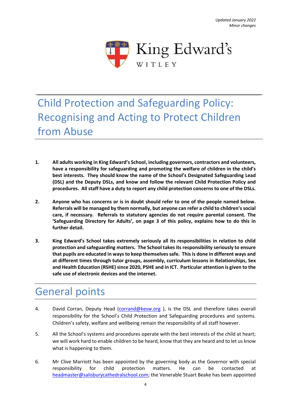

## <span id="page-3-0"></span>Child Protection and Safeguarding Policy: Recognising and Acting to Protect Children from Abuse

- **1. All adults working in King Edward's School, including governors, contractors and volunteers, have a responsibility for safeguarding and promoting the welfare of children in the child's best interests. They should know the name of the School's Designated Safeguarding Lead (DSL) and the Deputy DSLs, and know and follow the relevant Child Protection Policy and procedures. All staff have a duty to report any child protection concerns to one of the DSLs.**
- **2. Anyone who has concerns or is in doubt should refer to one of the people named below. Referrals will be managed by them normally, but anyone can refer a child to children's social care, if necessary. Referrals to statutory agencies do not require parental consent. The 'Safeguarding Directory for Adults', on page 3 of this policy, explains how to do this in further detail.**
- **3. King Edward's School takes extremely seriously all its responsibilities in relation to child protection and safeguarding matters. The School takes its responsibility seriously to ensure that pupils are educated in ways to keep themselves safe. This is done in different ways and at different times through tutor groups, assembly, curriculum lessons in Relationships, Sex**  and Health Education (RSHE) since 2020, PSHE and in ICT. Particular attention is given to the **safe use of electronic devices and the internet.**

## <span id="page-3-1"></span>General points

- 4. David Corran, Deputy Head [\(corrand@kesw.org](mailto:corrand@kesw.org) ), is the DSL and therefore takes overall responsibility for the School's Child Protection and Safeguarding procedures and systems. Children's safety, welfare and wellbeing remain the responsibility of all staff however.
- 5. All the School's systems and procedures operate with the best interests of the child at heart; we will work hard to enable children to be heard, know that they are heard and to let us know what is happening to them.
- 6. Mr Clive Marriott has been appointed by the governing body as the Governor with special responsibility for child protection matters. He can be contacted [headmaster@salisburycathedralschool.com;](mailto:headmaster@salisburycathedralschool.com) the Venerable Stuart Beake has been appointed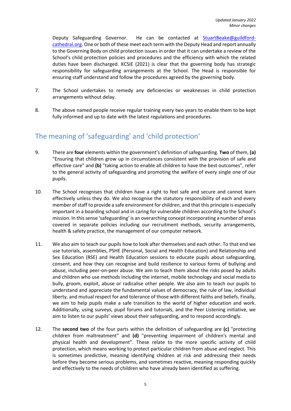Deputy Safeguarding Governor. He can be contacted at [StuartBeake@guildford](mailto:StuartBeake@guildford-cathedral.org)[cathedral.org.](mailto:StuartBeake@guildford-cathedral.org) One or both of these meet each term with the Deputy Head and report annually to the Governing Body on child protection issues in order that it can undertake a review of the School's child protection policies and procedures and the efficiency with which the related duties have been discharged. KCSIE (2021) is clear that the governing body has strategic responsibility for safeguarding arrangements at the School. The Head is responsible for ensuring staff understand and follow the procedures agreed by the governing body.

- 7. The School undertakes to remedy any deficiencies or weaknesses in child protection arrangements without delay.
- 8. The above named people receive regular training every two years to enable them to be kept fully informed and up to date with the latest regulations and procedures.

## <span id="page-4-0"></span>The meaning of 'safeguarding' and 'child protection'

- 9. There are **four** elements within the government's definition of safeguarding. **Two** of them, **(a)**  "Ensuring that children grow up in circumstances consistent with the provision of safe and effective care" and **(b)** "taking action to enable all children to have the best outcomes", refer to the general activity of safeguarding and promoting the welfare of every single one of our pupils.
- 10. The School recognises that children have a right to feel safe and secure and cannot learn effectively unless they do. We also recognise the statutory responsibility of each and every member of staff to provide a safe environment for children, and that this principle is especially important in a boarding school and in caring for vulnerable children according to the School's mission. In this sense 'safeguarding' is an overarching concept incorporating a number of areas covered in separate policies including our recruitment methods, security arrangements, health & safety practice, the management of our computer network.
- 11. We also aim to teach our pupils how to look after themselves and each other. To that end we use tutorials, assemblies, PSHE (Personal, Social and Health Education) and Relationship and Sex Education (RSE) and Health Education sessions to educate pupils about safeguarding, consent, and how they can recognise and build resilience to various forms of bullying and abuse, including peer-on-peer abuse. We aim to teach them about the risks posed by adults and children who use methods including the internet, mobile technology and social media to bully, groom, exploit, abuse or radicalise other people. We also aim to teach our pupils to understand and appreciate the fundamental values of democracy, the rule of law, individual liberty, and mutual respect for and tolerance of those with different faiths and beliefs. Finally, we aim to help pupils make a safe transition to the world of higher education and work. Additionally, using surveys, pupil forums and tutorials, and the Peer Listening initiative, we aim to listen to our pupils' views about their safeguarding, and to respond accordingly.
- 12. The **second two** of the four parts within the definition of safeguarding are **(c)** "protecting children from maltreatment" and **(d)** "preventing impairment of children's mental and physical health and development". These relate to the more specific activity of child protection, which means working to protect particular children from abuse and neglect. This is sometimes predictive, meaning identifying children at risk and addressing their needs before they become serious problems, and sometimes reactive, meaning responding quickly and effectively to the needs of children who have already been identified as suffering.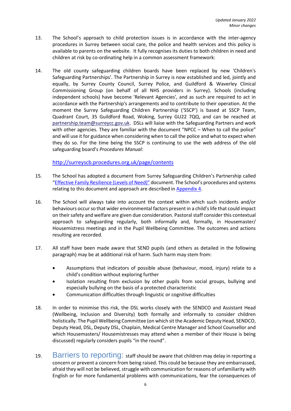- 13. The School's approach to child protection issues is in accordance with the inter-agency procedures in Surrey between social care, the police and health services and this policy is available to parents on the website. It fully recognises its duties to both children in need and children at risk by co-ordinating help in a common assessment framework:
- 14. The old county safeguarding children boards have been replaced by new 'Children's Safeguarding Partnerships'. The Partnership in Surrey is now established and led, jointly and equally, by Surrey County Council, Surrey Police, and Guildford & Waverley Clinical Commissioning Group (on behalf of all NHS providers in Surrey). Schools (including independent schools) have become 'Relevant Agencies', and as such are required to act in accordance with the Partnership's arrangements and to contribute to their operation. At the moment the Surrey Safeguarding Children Partnership ('SSCP') is based at SSCP Team, Quadrant Court, 35 Guildford Road, Woking, Surrey GU22 7QQ, and can be reached at partnership.team@surreycc.gov.uk. DSLs will liaise with the Safeguarding Partners and work with other agencies. They are familiar with the document "NPCC – When to call the police" and will use it for guidance when considering when to call the police and what to expect when they do so. For the time being the SSCP is continuing to use the web address of the old safeguarding board's *Procedures Manual*:

<http://surreyscb.procedures.org.uk/page/contents>

- 15. The School has adopted a document from Surrey Safeguarding Children's Partnership called "[Effective Family Resilience \(Levels of](https://www.surreyscp.org.uk/wp-content/uploads/2019/10/Effective-family-resilience-SSCB-Final-March-2019-1.pdf) Need)" document. The School's procedures and systems relating to this document and approach are described in [Appendix 4.](#page-30-0)
- 16. The School will always take into account the context within which such incidents and/or behaviours occur so that wider environmental factors present in a child's life that could impact on their safety and welfare are given due consideration. Pastoral staff consider this contextual approach to safeguarding regularly, both informally and, formally, in Housemaster/ Housemistress meetings and in the Pupil Wellbeing Committee. The outcomes and actions resulting are recorded.
- 17. All staff have been made aware that SEND pupils (and others as detailed in the following paragraph) may be at additional risk of harm. Such harm may stem from:
	- Assumptions that indicators of possible abuse (behaviour, mood, injury) relate to a child's condition without exploring further
	- Isolation resulting from exclusion by other pupils from social groups, bullying and especially bullying on the basis of a protected characteristic
	- Communication difficulties through linguistic or cognitive difficulties
- 18. In order to minimise this risk, the DSL works closely with the SENDCO and Assistant Head (Wellbeing, Inclusion and Diversity) both formally and informally to consider children holistically. The Pupil Wellbeing Committee (on which sit the Academic Deputy Head, SENDCO, Deputy Head, DSL, Deputy DSL, Chaplain, Medical Centre Manager and School Counsellor and which Housemasters/ Housemistresses may attend when a member of their House is being discussed) regularly considers pupils "in the round".
- <span id="page-5-0"></span>19. Barriers to reporting: staff should be aware that children may delay in reporting a concern or prevent a concern from being raised. This could be because they are embarrassed, afraid they will not be believed, struggle with communication for reasons of unfamiliarity with English or for more fundamental problems with communications, fear the consequences of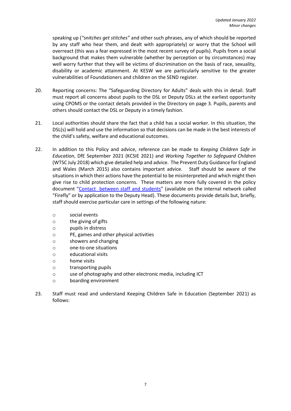speaking up (*"snitches get stitches"* and other such phrases, any of which should be reported by any staff who hear them, and dealt with appropriately) or worry that the School will overreact (this was a fear expressed in the most recent survey of pupils). Pupils from a social background that makes them vulnerable (whether by perception or by circumstances) may well worry further that they will be victims of discrimination on the basis of race, sexuality, disability or academic attainment. At KESW we are particularly sensitive to the greater vulnerabilities of Foundationers and children on the SEND register.

- 20. Reporting concerns: The "Safeguarding Directory for Adults" deals with this in detail. Staff must report all concerns about pupils to the DSL or Deputy DSLs at the earliest opportunity using CPOMS or the contact details provided in the Directory on page 3. Pupils, parents and others should contact the DSL or Deputy in a timely fashion.
- 21. Local authorities should share the fact that a child has a social worker. In this situation, the DSL(s) will hold and use the information so that decisions can be made in the best interests of the child's safety, welfare and educational outcomes.
- 22. In addition to this Policy and advice, reference can be made to *Keeping Children Safe in Education*, DfE September 2021 (KCSIE 2021) and *Working Together to Safeguard Children* (WTSC July 2018) which give detailed help and advice. The Prevent Duty Guidance for England and Wales (March 2015) also contains important advice. Staff should be aware of the situations in which their actions have the potential to be misinterpreted and which might then give rise to child protection concerns. These matters are more fully covered in the policy document "[Contact between staff and students](https://kesw.fireflycloud.net/resource.aspx?id=147673&officeint=on)" (available on the internal network called "Firefly" or by application to the Deputy Head). These documents provide details but, briefly, staff should exercise particular care in settings of the following nature:
	- o social events
	- o the giving of gifts
	- o pupils in distress
	- o PE, games and other physical activities
	- o showers and changing
	- o one-to-one situations
	- o educational visits
	- o home visits
	- o transporting pupils
	- o use of photography and other electronic media, including ICT
	- o boarding environment
- 23. Staff must read and understand Keeping Children Safe in Education (September 2021) as follows: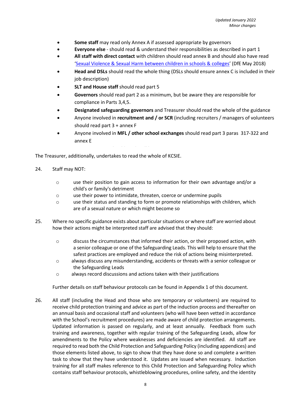- **Some staff** may read only Annex A if assessed appropriate by governors
- **Everyone else** should read & understand their responsibilities as described in part 1
- **All staff with direct contact** with children should read annex B and should also have read '[Sexual Violence & Sexual Harm between children in schools & colleges](https://www.gov.uk/government/publications/sexual-violence-and-sexual-harassment-between-children-in-schools-and-colleges)' (DfE May 2018)
- **Head and DSLs** should read the whole thing (DSLs should ensure annex C is included in their job description)
- **SLT and House staff** should read part 5
- **Governors** should read part 2 as a minimum, but be aware they are responsible for compliance in Parts 3,4,5.
- **Designated safeguarding governors** and Treasurer should read the whole of the guidance
- Anyone involved in **recruitment and / or SCR** (including recruiters / managers of volunteers should read part 3 + annex F
- Anyone involved in **MFL / other school exchanges** should read part 3 paras 317-322 and annex E

The Treasurer, additionally, undertakes to read the whole of KCSIE.

- 24. Staff may NOT:
	- o use their position to gain access to information for their own advantage and/or a child's or family's detriment
	- o use their power to intimidate, threaten, coerce or undermine pupils
	- o use their status and standing to form or promote relationships with children, which are of a sexual nature or which might become so
- 25. Where no specific guidance exists about particular situations or where staff are worried about how their actions might be interpreted staff are advised that they should:
	- o discuss the circumstances that informed their action, or their proposed action, with a senior colleague or one of the Safeguarding Leads. This will help to ensure that the safest practices are employed and reduce the risk of actions being misinterpreted.
	- o always discuss any misunderstanding, accidents or threats with a senior colleague or the Safeguarding Leads
	- o always record discussions and actions taken with their justifications

Further details on staff behaviour protocols can be found in Appendix 1 of this document.

26. All staff (including the Head and those who are temporary or volunteers) are required to receive child protection training and advice as part of the induction process and thereafter on an annual basis and occasional staff and volunteers (who will have been vetted in accordance with the School's recruitment procedures) are made aware of child protection arrangements. Updated information is passed on regularly, and at least annually. Feedback from such training and awareness, together with regular training of the Safeguarding Leads, allow for amendments to the Policy where weaknesses and deficiencies are identified. All staff are required to read both the Child Protection and Safeguarding Policy (including appendices) and those elements listed above, to sign to show that they have done so and complete a written task to show that they have understood it. Updates are issued when necessary. Induction training for all staff makes reference to this Child Protection and Safeguarding Policy which contains staff behaviour protocols, whistleblowing procedures, online safety, and the identity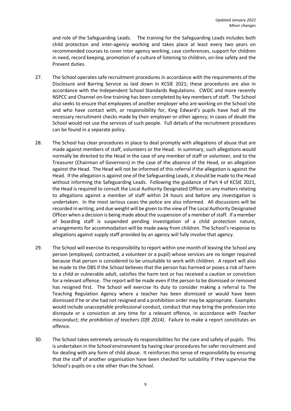and role of the Safeguarding Leads. The training for the Safeguarding Leads includes both child protection and inter-agency working and takes place at least every two years on recommended courses to cover inter agency working, case conferences, support for children in need, record keeping, promotion of a culture of listening to children, on-line safety and the Prevent duties.

- 27. The School operates safe recruitment procedures in accordance with the requirements of the Disclosure and Barring Service as laid down in KCSIE 2021; these procedures are also in accordance with the Independent School Standards Regulations. CWDC and more recently NSPCC and Channel on-line training has been completed by key members of staff. The School also seeks to ensure that employees of another employer who are working on the School site and who have contact with, or responsibility for, King Edward's pupils have had all the necessary recruitment checks made by their employer or other agency; in cases of doubt the School would not use the services of such people. Full details of the recruitment procedures can be found in a separate policy.
- 28. The School has clear procedures in place to deal promptly with allegations of abuse that are made against members of staff, volunteers or the Head. In summary, such allegations would normally be directed to the Head in the case of any member of staff or volunteer, and to the Treasurer (Chairman of Governors) in the case of the absence of the Head, or an allegation against the Head. The Head will not be informed of this referral if the allegation is against the Head. If the allegation is against one of the Safeguarding Leads, it should be made to the Head without informing the Safeguarding Leads. Following the guidance of Part 4 of KCSIE 2021, the Head is required to consult the Local Authority Designated Officer on any matters relating to allegations against a member of staff within 24 hours and before any investigation is undertaken. In the most serious cases the police are also informed. All discussions will be recorded in writing, and due weight will be given to the view of The Local Authority Designated Officer when a decision is being made about the suspension of a member of staff. If a member of boarding staff is suspended pending investigation of a child protection nature, arrangements for accommodation will be made away from children. The School's response to allegations against supply staff provided by an agency will fully involve that agency.
- 29. The School will exercise its responsibility to report within one month of leaving the School any person (employed, contracted, a volunteer or a pupil) whose services are no longer required because that person is considered to be unsuitable to work with children. A report will also be made to the DBS if the School believes that the person has harmed or poses a risk of harm to a child or vulnerable adult, satisfies the harm test or has received a caution or conviction for a relevant offence. The report will be made even if the person to be dismissed or removed has resigned first. The School will exercise its duty to consider making a referral to The Teaching Regulation Agency where a teacher has been dismissed or would have been dismissed if he or she had not resigned and a prohibition order may be appropriate. Examples would include unacceptable professional conduct, conduct that may bring the profession into disrepute or a conviction at any time for a relevant offence, in accordance with *Teacher misconduct; the prohibition of teachers (DfE 2014)*. Failure to make a report constitutes an offence.
- 30. The School takes extremely seriously its responsibilities for the care and safety of pupils. This is undertaken in the School environment by having clear procedures for safer recruitment and for dealing with any form of child abuse. It reinforces this sense of responsibility by ensuring that the staff of another organisation have been checked for suitability if they supervise the School's pupils on a site other than the School.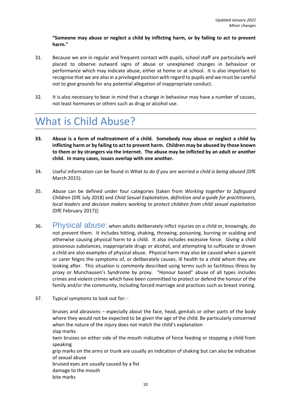**"Someone may abuse or neglect a child by inflicting harm, or by failing to act to prevent harm."**

- 31. Because we are in regular and frequent contact with pupils, school staff are particularly well placed to observe outward signs of abuse or unexplained changes in behaviour or performance which may indicate abuse, either at home or at school. It is also important to recognise that we are also in a privileged position with regard to pupils and we must be careful not to give grounds for any potential allegation of inappropriate conduct.
- 32. It is also necessary to bear in mind that a change in behaviour may have a number of causes, not least hormones or others such as drug or alcohol use.

## <span id="page-9-0"></span>What is Child Abuse?

- **33. Abuse is a form of maltreatment of a child. Somebody may abuse or neglect a child by inflicting harm or by failing to act to prevent harm. Children may be abused by those known to them or by strangers via the internet. The abuse may be inflicted by an adult or another child. In many cases, issues overlap with one another.**
- 34. Useful information can be found in *What to do if you are worried a child is being abused (*DfE March 2015).
- 35. Abuse can be defined under four categories [taken from *Working together to Safeguard Children* (DfE July 2018) and *Child Sexual Exploitation, definition and a guide for practitioners, local leaders and decision makers working to protect children from child sexual exploitation* (DfE February 2017)]:
- <span id="page-9-1"></span>36. Physical abuse: when adults deliberately inflict injuries on a child or, knowingly, do not prevent them. It includes hitting, shaking, throwing, poisoning, burning or scalding and otherwise causing physical harm to a child. It also includes excessive force. Giving a child poisonous substances, inappropriate drugs or alcohol, and attempting to suffocate or drown a child are also examples of physical abuse. Physical harm may also be caused when a parent or carer feigns the symptoms of, or deliberately causes, ill health to a child whom they are looking after. This situation is commonly described using terms such as factitious illness by proxy or Munchausen's Syndrome by proxy. "Honour based" abuse of all types includes crimes and violent crimes which have been committed to protect or defend the honour of the family and/or the community, including forced marriage and practices such as breast ironing.
- 37. Typical symptoms to look out for: -

bruises and abrasions – especially about the face, head, genitals or other parts of the body where they would not be expected to be given the age of the child. Be particularly concerned when the nature of the injury does not match the child's explanation slap marks twin bruises on either side of the mouth indicative of force feeding or stopping a child from speaking grip marks on the arms or trunk are usually an indication of shaking but can also be indicative of sexual abuse

bruised eyes are usually caused by a fist

damage to the mouth

bite marks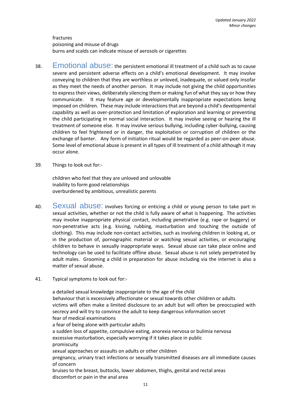fractures poisoning and misuse of drugs burns and scalds can indicate misuse of aerosols or cigarettes

- <span id="page-10-0"></span>38. Emotional abuse: the persistent emotional ill treatment of a child such as to cause severe and persistent adverse effects on a child's emotional development. It may involve conveying to children that they are worthless or unloved, inadequate, or valued only insofar as they meet the needs of another person. It may include not giving the child opportunities to express their views, deliberately silencing them or making fun of what they say or how they communicate. It may feature age or developmentally inappropriate expectations being imposed on children. These may include interactions that are beyond a child's developmental capability as well as over-protection and limitation of exploration and learning or preventing the child participating in normal social interaction. It may involve seeing or hearing the ill treatment of someone else. It may involve serious bullying, including cyber-bullying, causing children to feel frightened or in danger, the exploitation or corruption of children or the exchange of banter. Any form of initiation ritual would be regarded as peer-on-peer abuse. Some level of emotional abuse is present in all types of ill treatment of a child although it may occur alone.
- 39. Things to look out for:-

children who feel that they are unloved and unlovable inability to form good relationships overburdened by ambitious, unrealistic parents

- <span id="page-10-1"></span>40. Sexual abuse: involves forcing or enticing a child or young person to take part in sexual activities, whether or not the child is fully aware of what is happening. The activities may involve inappropriate physical contact, including penetrative (e.g. rape or buggery) or non-penetrative acts (e.g. kissing, rubbing, masturbation and touching the outside of clothing). This may include non-contact activities, such as involving children in looking at, or in the production of, pornographic material or watching sexual activities, or encouraging children to behave in sexually inappropriate ways. Sexual abuse can take place online and technology can be used to facilitate offline abuse. Sexual abuse is not solely perpetrated by adult males. Grooming a child in preparation for abuse including via the internet is also a matter of sexual abuse.
- 41. Typical symptoms to look out for:-

a detailed sexual knowledge inappropriate to the age of the child behaviour that is excessively affectionate or sexual towards other children or adults victims will often make a limited disclosure to an adult but will often be preoccupied with secrecy and will try to convince the adult to keep dangerous information secret fear of medical examinations a fear of being alone with particular adults a sudden loss of appetite, compulsive eating, anorexia nervosa or bulimia nervosa excessive masturbation, especially worrying if it takes place in public promiscuity sexual approaches or assaults on adults or other children pregnancy, urinary tract infections or sexually transmitted diseases are all immediate causes of concern bruises to the breast, buttocks, lower abdomen, thighs, genital and rectal areas discomfort or pain in the anal area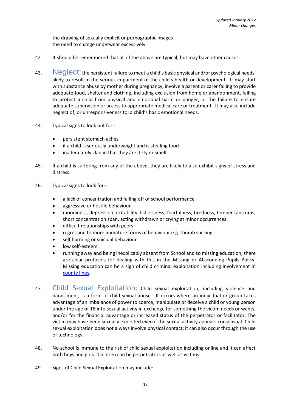the drawing of sexually explicit or pornographic images the need to change underwear excessively

- 42. It should be remembered that all of the above are typical, but may have other causes.
- <span id="page-11-0"></span>43. Neglect: the persistent failure to meet a child's basic physical and/or psychological needs, likely to result in the serious impairment of the child's health or development. It may start with substance abuse by mother during pregnancy, involve a parent or carer failing to provide adequate food, shelter and clothing, including exclusion from home or abandonment, failing to protect a child from physical and emotional harm or danger, or the failure to ensure adequate supervision or access to appropriate medical care or treatment. It may also include neglect of, or unresponsiveness to, a child's basic emotional needs.
- 44. Typical signs to look out for:-
	- persistent stomach aches
	- if a child is seriously underweight and is stealing food
	- inadequately clad in that they are dirty or smell
- 45. If a child is suffering from any of the above, they are likely to also exhibit signs of stress and distress.
- 46. Typical signs to look for:-
	- a lack of concentration and falling off of school performance
	- aggressive or hostile behaviour
	- moodiness, depression, irritability, listlessness, fearfulness, tiredness, temper tantrums, short concentration span, acting withdrawn or crying at minor occurrences
	- difficult relationships with peers
	- regression to more immature forms of behaviour e.g. thumb sucking
	- self harming or suicidal behaviour
	- low self-esteem
	- running away and being inexplicably absent from School and so missing education; there are clear protocols for dealing with this in the Missing or Absconding Pupils Policy. Missing education can be a sign of child criminal exploitation including involvement in [county lines.](https://www.healthysurrey.org.uk/community-safety/serious-and-organised-crime/county-lines-and-cuckooing)
- <span id="page-11-1"></span>47. Child Sexual Exploitation: Child sexual exploitation, including violence and harassment, is a form of child sexual abuse. It occurs where an individual or group takes advantage of an imbalance of power to coerce, manipulate or deceive a child or young person under the age of 18 into sexual activity in exchange for something the victim needs or wants, and/or for the financial advantage or increased status of the perpetrator or facilitator. The victim may have been sexually exploited even if the sexual activity appears consensual. Child sexual exploitation does not always involve physical contact; it can also occur through the use of technology.
- 48. No school is immune to the risk of child sexual exploitation including online and it can affect both boys and girls. Children can be perpetrators as well as victims.
- 49. Signs of Child Sexual Exploitation may include:-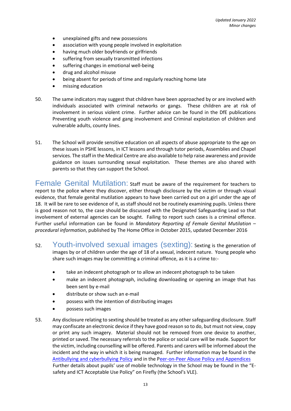- unexplained gifts and new possessions
- association with young people involved in exploitation
- having much older boyfriends or girlfriends
- suffering from sexually transmitted infections
- suffering changes in emotional well-being
- drug and alcohol misuse
- being absent for periods of time and regularly reaching home late
- missing education
- 50. The same indicators may suggest that children have been approached by or are involved with individuals associated with criminal networks or gangs. These children are at risk of involvement in serious violent crime. Further advice can be found in the DfE publications Preventing youth violence and gang involvement and Criminal exploitation of children and vulnerable adults, county lines.
- 51. The School will provide sensitive education on all aspects of abuse appropriate to the age on these issues in PSHE lessons, in ICT lessons and through tutor periods, Assemblies and Chapel services. The staff in the Medical Centre are also available to help raise awareness and provide guidance on issues surrounding sexual exploitation. These themes are also shared with parents so that they can support the School.

<span id="page-12-0"></span>Female Genital Mutilation: staff must be aware of the requirement for teachers to report to the police where they discover, either through disclosure by the victim or through visual evidence, that female genital mutilation appears to have been carried out on a girl under the age of 18. It will be rare to see evidence of it, as staff should not be routinely examining pupils. Unless there is good reason not to, the case should be discussed with the Designated Safeguarding Lead so that involvement of external agencies can be sought. Failing to report such cases is a criminal offence. Further useful information can be found in *Mandatory Reporting of Female Genital Mutilation – procedural information*, published by The Home Office in October 2015, updated December 2016

- <span id="page-12-1"></span>52. Youth-involved sexual images (sexting): Sexting is the generation of images by or of children under the age of 18 of a sexual, indecent nature. Young people who share such images may be committing a criminal offence, as it is a crime to:
	- take an indecent photograph or to allow an indecent photograph to be taken
	- make an indecent photograph, including downloading or opening an image that has been sent by e-mail
	- distribute or show such an e-mail
	- possess with the intention of distributing images
	- possess such images
- 53. Any disclosure relating to sexting should be treated as any other safeguarding disclosure. Staff may confiscate an electronic device if they have good reason so to do, but must not view, copy or print any such imagery. Material should not be removed from one device to another, printed or saved. The necessary referrals to the police or social care will be made. Support for the victim, including counselling will be offered. Parents and carers will be informed about the incident and the way in which it is being managed. Further information may be found in the [Antibullying and cyberbullying Policy](https://kesw.fireflycloud.net/Resources/Staff%20%5BF8%5D/Policies%20%5BF5l%5D/Policies%20Firefly%20and%20Website%20%5BFexg%5D/File%20List%20(9)/Anti-Bullying%20and%20Cyber-Bullying%20Policy.pdf) and in the [Peer-on-Peer Abuse Policy and Appendices](https://kesw.fireflycloud.net/resource.aspx?id=250326&officeint=on) Further details about pupils' use of mobile technology in the School may be found in the "[E](https://kesw.fireflycloud.net/resource.aspx?id=147677&officeint=on)[safety and ICT Acceptable Use Policy](https://kesw.fireflycloud.net/resource.aspx?id=147677&officeint=on)" on Firefly (the School's VLE).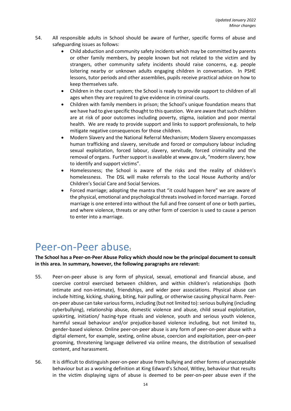- 54. All responsible adults in School should be aware of further, specific forms of abuse and safeguarding issues as follows:
	- Child abduction and community safety incidents which may be committed by parents or other family members, by people known but not related to the victim and by strangers, other community safety incidents should raise concerns, e.g. people loitering nearby or unknown adults engaging children in conversation. In PSHE lessons, tutor periods and other assemblies, pupils receive practical advice on how to keep themselves safe.
	- Children in the court system; the School is ready to provide support to children of all ages when they are required to give evidence in criminal courts.
	- Children with family members in prison; the School's unique foundation means that we have had to give specific thought to this question. We are aware that such children are at risk of poor outcomes including poverty, stigma, isolation and poor mental health. We are ready to provide support and links to support professionals, to help mitigate negative consequences for those children.
	- Modern Slavery and the National Referral Mechanism; Modern Slavery encompasses human trafficking and slavery, servitude and forced or compulsory labour including sexual exploitation, forced labour, slavery, servitude, forced criminality and the removal of organs. Further support is available a[t www.gov.uk](http://www.gov.uk/), "modern slavery; how to identify and support victims".
	- Homelessness; the School is aware of the risks and the reality of children's homelessness. The DSL will make referrals to the Local House Authority and/or Children's Social Care and Social Services.
	- Forced marriage; adopting the mantra that "it could happen here" we are aware of the physical, emotional and psychological threats involved in forced marriage. Forced marriage is one entered into without the full and free consent of one or both parties, and where violence, threats or any other form of coercion is used to cause a person to enter into a marriage.

## <span id="page-13-0"></span>Peer-on-Peer abuse**:**

**The School has a Peer-on-Peer Abuse Policy which should now be the principal document to consult in this area. In summary, however, the following paragraphs are relevant:**

- 55. Peer-on-peer abuse is any form of physical, sexual, emotional and financial abuse, and coercive control exercised between children, and within children's relationships (both intimate and non-intimate), friendships, and wider peer associations. Physical abuse can include hitting, kicking, shaking, biting, hair pulling, or otherwise causing physical harm. Peeron-peer abuse can take various forms, including (but not limited to): serious bullying (including cyberbullying), relationship abuse, domestic violence and abuse, child sexual exploitation, upskirting, initiation/ hazing-type rituals and violence, youth and serious youth violence, harmful sexual behaviour and/or prejudice-based violence including, but not limited to, gender-based violence. Online peer-on-peer abuse is any form of peer-on-peer abuse with a digital element, for example, sexting, online abuse, coercion and exploitation, peer-on-peer grooming, threatening language delivered via online means, the distribution of sexualised content, and harassment.
- 56. It is difficult to distinguish peer-on-peer abuse from bullying and other forms of unacceptable behaviour but as a working definition at King Edward's School, Witley, behaviour that results in the victim displaying signs of abuse is deemed to be peer-on-peer abuse even if the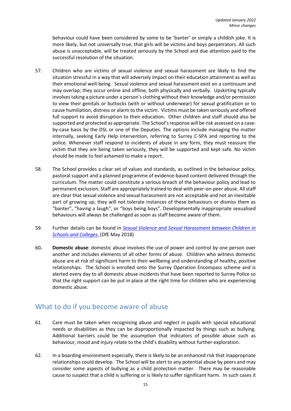behaviour could have been considered by some to be 'banter' or simply a childish joke. It is more likely, but not universally true, that girls will be victims and boys perpetrators. All such abuse is unacceptable, will be treated seriously by the School and due attention paid to the successful resolution of the situation.

- 57. Children who are victims of sexual violence and sexual harassment are likely to find the situation stressful in a way that will adversely impact on their education attainment as well as their emotional well-being. Sexual violence and sexual harassment exist on a continuum and may overlap; they occur online and offline, both physically and verbally. Upskirting typically involves taking a picture under a person's clothing without their knowledge and/or permission to view their genitals or buttocks (with or without underwear) for sexual gratification or to cause humiliation, distress or alarm to the victim. Victims must be taken seriously and offered full support to avoid disruption to their education. Other children and staff should also be supported and protected as appropriate. The School's response will be risk assessed on a caseby-case basis by the DSL or one of the Deputies. The options include managing the matter internally, seeking Early Help intervention, referring to Surrey C-SPA and reporting to the police. Whenever staff respond to incidents of abuse in any form, they must reassure the victim that they are being taken seriously, they will be supported and kept safe. No victim should be made to feel ashamed to make a report.
- 58. The School provides a clear set of values and standards, as outlined in the behaviour policy, pastoral support and a planned programme of evidence-based content delivered through the curriculum. The matter could constitute a serious breach of the behaviour policy and lead to permanent exclusion. Staff are appropriately trained to deal with peer-on-peer abuse. All staff are clear that sexual violence and sexual harassment are not acceptable and not an inevitable part of growing up; they will not tolerate instances of these behaviours or dismiss them as "banter", "having a laugh", or "boys being boys". Developmentally inappropriate sexualised behaviours will always be challenged as soon as staff become aware of them.
- 59. Further details can be found in *[Sexual Violence and Sexual Harassment between Children in](https://www.gov.uk/government/publications/sexual-violence-and-sexual-harassment-between-children-in-schools-and-colleges)  [Schools and Colleges](https://www.gov.uk/government/publications/sexual-violence-and-sexual-harassment-between-children-in-schools-and-colleges)*, (DfE May 2018)
- 60**. Domestic abuse**: domestic abuse involves the use of power and control by one person over another and includes elements of all other forms of abuse. Children who witness domestic abuse are at risk of significant harm to their wellbeing and understanding of healthy, positive relationships. The School is enrolled onto the Surrey Operation Encompass scheme and is alerted every day to all domestic abuse incidents that have been reported to Surrey Police so that the right support can be put in place at the right time for children who are experiencing domestic abuse.

## <span id="page-14-0"></span>What to do if you become aware of abuse

- 61. Care must be taken when recognising abuse and neglect in pupils with special educational needs or disabilities as they can be disproportionally impacted by things such as bullying. Additional barriers could be the assumption that indicators of possible abuse such as behaviour, mood and injury relate to the child's disability without further exploration.
- 62. In a boarding environment especially, there is likely to be an enhanced risk that inappropriate relationships could develop. The School will be alert to any potential abuse by peers and may consider some aspects of bullying as a child protection matter. There may be reasonable cause to suspect that a child is suffering or is likely to suffer significant harm. In such cases it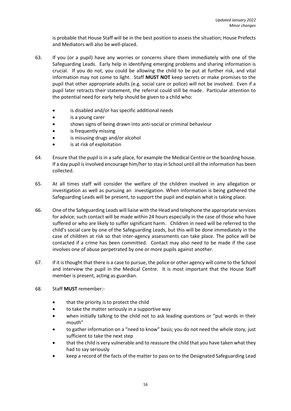is probable that House Staff will be in the best position to assess the situation; House Prefects and Mediators will also be well-placed.

- 63. If you (or a pupil) have any worries or concerns share them immediately with one of the Safeguarding Leads. Early help in identifying emerging problems and sharing information is crucial. If you do not, you could be allowing the child to be put at further risk, and vital information may not come to light. Staff **MUST NOT** keep secrets or make promises to the pupil that other appropriate adults (e.g. social care or police) will not be involved. Even if a pupil later retracts their statement, the referral could still be made. Particular attention to the potential need for early help should be given to a child who:
	- is disabled and/or has specific additional needs
	- is a young carer
	- shows signs of being drawn into anti-social or criminal behaviour
	- is frequently missing
	- is misusing drugs and/or alcohol
	- is at risk of exploitation
- 64. Ensure that the pupil is in a safe place, for example the Medical Centre or the boarding house. If a day pupil is involved encourage him/her to stay in School until all the information has been collected.
- 65. At all times staff will consider the welfare of the children involved in any allegation or investigation as well as pursuing an investigation. When information is being gathered the Safeguarding Leads will be present, to support the pupil and explain what is taking place.
- 66. One of the Safeguarding Leads will liaise with the Head and telephone the appropriate services for advice; such contact will be made within 24 hours especially in the case of those who have suffered or who are likely to suffer significant harm. Children in need will be referred to the child's social care by one of the Safeguarding Leads, but this will be done immediately in the case of children at risk so that inter-agency assessments can take place. The police will be contacted if a crime has been committed. Contact may also need to be made if the case involves one of abuse perpetrated by one or more pupils against another.
- 67. If it is thought that there is a case to pursue, the police or other agency will come to the School and interview the pupil in the Medical Centre. It is most important that the House Staff member is present, acting as guardian.
- 68. Staff **MUST** remember:
	- that the priority is to protect the child
	- to take the matter seriously in a supportive way
	- when initially talking to the child not to ask leading questions or "put words in their mouth"
	- to gather information on a "need to know" basis; you do not need the whole story, just sufficient to take the next step
	- that the child is very vulnerable and to reassure the child that you have taken what they had to say seriously
	- keep a record of the facts of the matter to pass on to the Designated Safeguarding Lead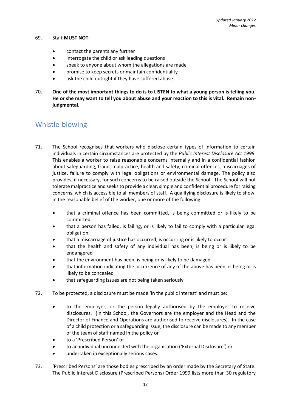### 69. Staff **MUST NOT**:-

- contact the parents any further
- interrogate the child or ask leading questions
- speak to anyone about whom the allegations are made
- promise to keep secrets or maintain confidentiality
- ask the child outright if they have suffered abuse
- 70**. One of the most important things to do is to LISTEN to what a young person is telling you. He or she may want to tell you about abuse and your reaction to this is vital. Remain nonjudgmental.**

### <span id="page-16-0"></span>Whistle-blowing

- 71. The School recognises that workers who disclose certain types of information to certain individuals in certain circumstances are protected by the *Public Interest Disclosure Act 1998*. This enables a worker to raise reasonable concerns internally and in a confidential fashion about safeguarding, fraud, malpractice, health and safety, criminal offences, miscarriages of justice, failure to comply with legal obligations or environmental damage. The policy also provides, if necessary, for such concerns to be raised outside the School. The School will not tolerate malpractice and seeks to provide a clear, simple and confidential procedure for raising concerns, which is accessible to all members of staff. A qualifying disclosure is likely to show, in the reasonable belief of the worker, one or more of the following:
	- that a criminal offence has been committed, is being committed or is likely to be committed
	- that a person has failed, is failing, or is likely to fail to comply with a particular legal obligation
	- that a miscarriage of justice has occurred, is occurring or is likely to occur
	- that the health and safety of any individual has been, is being or is likely to be endangered
	- that the environment has been, is being or is likely to be damaged
	- that information indicating the occurrence of any of the above has been, is being or is likely to be concealed
	- that safeguarding issues are not being taken seriously
- 72. To be protected, a disclosure must be made 'in the public interest' and must be:
	- to the employer, or the person legally authorised by the employer to receive disclosures. (In this School, the Governors are the employer and the Head and the Director of Finance and Operations are authorised to receive disclosures). In the case of a child protection or a safeguarding issue, the disclosure can be made to any member of the team of staff named in the policy or
	- to a 'Prescribed Person' or
	- to an individual unconnected with the organisation ('External Disclosure') or
	- undertaken in exceptionally serious cases.
- 73. 'Prescribed Persons' are those bodies prescribed by an order made by the Secretary of State. The Public Interest Disclosure (Prescribed Persons) Order 1999 lists more than 30 regulatory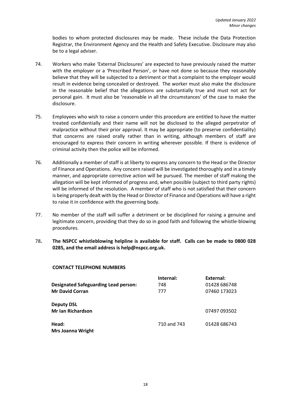bodies to whom protected disclosures may be made. These include the Data Protection Registrar, the Environment Agency and the Health and Safety Executive. Disclosure may also be to a legal adviser.

- 74. Workers who make 'External Disclosures' are expected to have previously raised the matter with the employer or a 'Prescribed Person', or have not done so because they reasonably believe that they will be subjected to a detriment or that a complaint to the employer would result in evidence being concealed or destroyed. The worker must also make the disclosure in the reasonable belief that the allegations are substantially true and must not act for personal gain. It must also be 'reasonable in all the circumstances' of the case to make the disclosure.
- 75. Employees who wish to raise a concern under this procedure are entitled to have the matter treated confidentially and their name will not be disclosed to the alleged perpetrator of malpractice without their prior approval. It may be appropriate (to preserve confidentiality) that concerns are raised orally rather than in writing, although members of staff are encouraged to express their concern in writing wherever possible. If there is evidence of criminal activity then the police will be informed.
- 76. Additionally a member of staff is at liberty to express any concern to the Head or the Director of Finance and Operations. Any concern raised will be investigated thoroughly and in a timely manner, and appropriate corrective action will be pursued. The member of staff making the allegation will be kept informed of progress and, when possible (subject to third party rights) will be informed of the resolution. A member of staff who is not satisfied that their concern is being properly dealt with by the Head or Director of Finance and Operations will have a right to raise it in confidence with the governing body.
- 77. No member of the staff will suffer a detriment or be disciplined for raising a genuine and legitimate concern, providing that they do so in good faith and following the whistle-blowing procedures.
- 78**. The NSPCC whistleblowing helpline is available for staff. Calls can be made to 0800 028 0285, and the email address is help@nspcc.org.uk.**

| CONTACT TEELT ITONE ITONIDEITO              |             |              |
|---------------------------------------------|-------------|--------------|
|                                             | Internal:   | External:    |
| <b>Designated Safeguarding Lead person:</b> | 748         | 01428 686748 |
| <b>Mr David Corran</b>                      | 777         | 07460 173023 |
| <b>Deputy DSL</b>                           |             |              |
| <b>Mr Ian Richardson</b>                    |             | 07497 093502 |
| Head:                                       | 710 and 743 | 01428 686743 |
| <b>Mrs Joanna Wright</b>                    |             |              |

### **CONTACT TELEPHONE NUMBERS**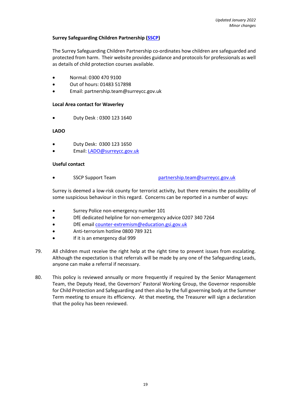### **Surrey Safeguarding Children Partnership [\(SSCP\)](https://www.surreyscp.org.uk/children-young-people/)**

The Surrey Safeguarding Children Partnership co-ordinates how children are safeguarded and protected from harm. Their website provides guidance and protocols for professionals as well as details of child protection courses available.

- Normal: 0300 470 9100
- Out of hours: 01483 517898
- Email: partnership.team@surreycc.gov.uk

### **Local Area contact for Waverley**

• Duty Desk : 0300 123 1640

### **LADO**

- Duty Desk: 0300 123 1650
- Email: [LADO@surreycc.gov.uk](mailto:LADO@surreycc.gov.uk)

### **Useful contact**

• SSCP Support Team [partnership.team@surreycc.gov.uk](mailto:sscb@surreycc.gov.uk)

Surrey is deemed a low-risk county for terrorist activity, but there remains the possibility of some suspicious behaviour in this regard. Concerns can be reported in a number of ways:

- Surrey Police non-emergency number 101
- DfE dedicated helpline for non-emergency advice 0207 340 7264
- DfE email [counter-extremism@education.gsi.gov.uk](mailto:counter-extremism@education.gsi.gov.uk)
- Anti-terrorism hotline 0800 789 321
- If it is an emergency dial 999
- 79. All children must receive the right help at the right time to prevent issues from escalating. Although the expectation is that referrals will be made by any one of the Safeguarding Leads, anyone can make a referral if necessary.
- 80. This policy is reviewed annually or more frequently if required by the Senior Management Team, the Deputy Head, the Governors' Pastoral Working Group, the Governor responsible for Child Protection and Safeguarding and then also by the full governing body at the Summer Term meeting to ensure its efficiency. At that meeting, the Treasurer will sign a declaration that the policy has been reviewed.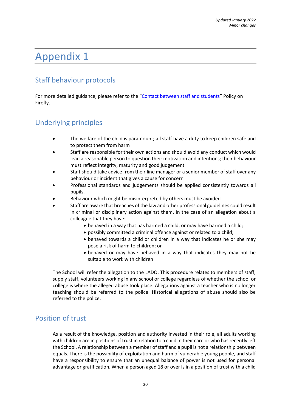## <span id="page-19-0"></span>Appendix 1

## <span id="page-19-1"></span>Staff behaviour protocols

For more detailed guidance, please refer to the "[Contact between staff and students](https://kesw.fireflycloud.net/resource.aspx?id=147673&officeint=on)" Policy on Firefly.

## <span id="page-19-2"></span>Underlying principles

- The welfare of the child is paramount; all staff have a duty to keep children safe and to protect them from harm
- Staff are responsible for their own actions and should avoid any conduct which would lead a reasonable person to question their motivation and intentions; their behaviour must reflect integrity, maturity and good judgement
- Staff should take advice from their line manager or a senior member of staff over any behaviour or incident that gives a cause for concern
- Professional standards and judgements should be applied consistently towards all pupils.
- Behaviour which might be misinterpreted by others must be avoided
- Staff are aware that breaches of the law and other professional guidelines could result in criminal or disciplinary action against them. In the case of an allegation about a colleague that they have:
	- behaved in a way that has harmed a child, or may have harmed a child;
	- possibly committed a criminal offence against or related to a child;
	- behaved towards a child or children in a way that indicates he or she may pose a risk of harm to children; or
	- behaved or may have behaved in a way that indicates they may not be suitable to work with children

The School will refer the allegation to the LADO. This procedure relates to members of staff, supply staff, volunteers working in any school or college regardless of whether the school or college is where the alleged abuse took place. Allegations against a teacher who is no longer teaching should be referred to the police. Historical allegations of abuse should also be referred to the police.

## <span id="page-19-3"></span>Position of trust

As a result of the knowledge, position and authority invested in their role, all adults working with children are in positions of trust in relation to a child in their care or who has recently left the School. A relationship between a member of staff and a pupil is not a relationship between equals. There is the possibility of exploitation and harm of vulnerable young people, and staff have a responsibility to ensure that an unequal balance of power is not used for personal advantage or gratification. When a person aged 18 or over is in a position of trust with a child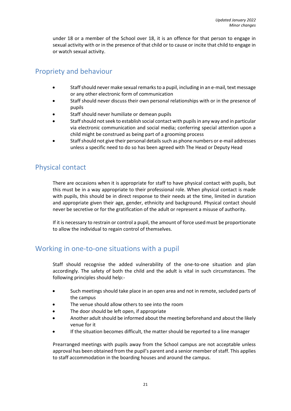under 18 or a member of the School over 18, it is an offence for that person to engage in sexual activity with or in the presence of that child or to cause or incite that child to engage in or watch sexual activity.

## <span id="page-20-0"></span>Propriety and behaviour

- Staff should never make sexual remarks to a pupil, including in an e-mail, text message or any other electronic form of communication
- Staff should never discuss their own personal relationships with or in the presence of pupils
- Staff should never humiliate or demean pupils
- Staff should not seek to establish social contact with pupils in any way and in particular via electronic communication and social media; conferring special attention upon a child might be construed as being part of a grooming process
- Staff should not give their personal details such as phone numbers or e-mail addresses unless a specific need to do so has been agreed with The Head or Deputy Head

### <span id="page-20-1"></span>Physical contact

There are occasions when it is appropriate for staff to have physical contact with pupils, but this must be in a way appropriate to their professional role. When physical contact is made with pupils, this should be in direct response to their needs at the time, limited in duration and appropriate given their age, gender, ethnicity and background. Physical contact should never be secretive or for the gratification of the adult or represent a misuse of authority.

If it is necessary to restrain or control a pupil, the amount of force used must be proportionate to allow the individual to regain control of themselves.

### <span id="page-20-2"></span>Working in one-to-one situations with a pupil

Staff should recognise the added vulnerability of the one-to-one situation and plan accordingly. The safety of both the child and the adult is vital in such circumstances. The following principles should help:-

- Such meetings should take place in an open area and not in remote, secluded parts of the campus
- The venue should allow others to see into the room
- The door should be left open, if appropriate
- Another adult should be informed about the meeting beforehand and about the likely venue for it
- If the situation becomes difficult, the matter should be reported to a line manager

Prearranged meetings with pupils away from the School campus are not acceptable unless approval has been obtained from the pupil's parent and a senior member of staff. This applies to staff accommodation in the boarding houses and around the campus.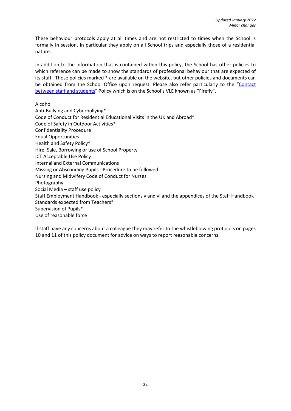These behaviour protocols apply at all times and are not restricted to times when the School is formally in session. In particular they apply on all School trips and especially those of a residential nature.

In addition to the information that is contained within this policy, the School has other policies to which reference can be made to show the standards of professional behaviour that are expected of its staff. Those policies marked \* are available on the website, but other policies and documents can be obtained from the School Office upon request. Please also refer particularly to the "[Contact](https://kesw.fireflycloud.net/resource.aspx?id=147673&officeint=on)  [between staff and students](https://kesw.fireflycloud.net/resource.aspx?id=147673&officeint=on)" Policy which is on the School's VLE known as "Firefly".

Alcohol

Anti-Bullying and Cyberbullying\* Code of Conduct for Residential Educational Visits in the UK and Abroad\* Code of Safety in Outdoor Activities\* Confidentiality Procedure Equal Opportunities Health and Safety Policy\* Hire, Sale, Borrowing or use of School Property ICT Acceptable Use Policy Internal and External Communications Missing or Absconding Pupils - Procedure to be followed Nursing and Midwifery Code of Conduct for Nurses Photography Social Media – staff use policy Staff Employment Handbook - especially sections v and vi and the appendices of the Staff Handbook Standards expected from Teachers\* Supervision of Pupils\* Use of reasonable force

If staff have any concerns about a colleague they may refer to the whistleblowing protocols on pages 10 and 11 of this policy document for advice on ways to report reasonable concerns.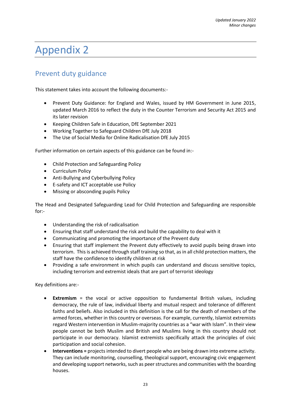## <span id="page-22-0"></span>Appendix 2

## <span id="page-22-1"></span>Prevent duty guidance

This statement takes into account the following documents:-

- Prevent Duty Guidance: for England and Wales, issued by HM Government in June 2015, updated March 2016 to reflect the duty in the Counter Terrorism and Security Act 2015 and its later revision
- Keeping Children Safe in Education, DfE September 2021
- Working Together to Safeguard Children DfE July 2018
- The Use of Social Media for Online Radicalisation DfE July 2015

Further information on certain aspects of this guidance can be found in:-

- Child Protection and Safeguarding Policy
- Curriculum Policy
- Anti-Bullying and Cyberbullying Policy
- E-safety and ICT acceptable use Policy
- Missing or absconding pupils Policy

The Head and Designated Safeguarding Lead for Child Protection and Safeguarding are responsible for:-

- Understanding the risk of radicalisation
- Ensuring that staff understand the risk and build the capability to deal with it
- Communicating and promoting the importance of the Prevent duty
- Ensuring that staff implement the Prevent duty effectively to avoid pupils being drawn into terrorism. This is achieved through staff training so that, as in all child protection matters, the staff have the confidence to identify children at risk
- Providing a safe environment in which pupils can understand and discuss sensitive topics, including terrorism and extremist ideals that are part of terrorist ideology

Key definitions are:-

- **Extremism** = the vocal or active opposition to fundamental British values, including democracy, the rule of law, individual liberty and mutual respect and tolerance of different faiths and beliefs. Also included in this definition is the call for the death of members of the armed forces, whether in this country or overseas. For example, currently, Islamist extremists regard Western intervention in Muslim-majority countries as a "war with Islam". In their view people cannot be both Muslim and British and Muslims living in this country should not participate in our democracy. Islamist extremists specifically attack the principles of civic participation and social cohesion.
- **Interventions =** projects intended to divert people who are being drawn into extreme activity. They can include monitoring, counselling, theological support, encouraging civic engagement and developing support networks, such as peer structures and communities with the boarding houses.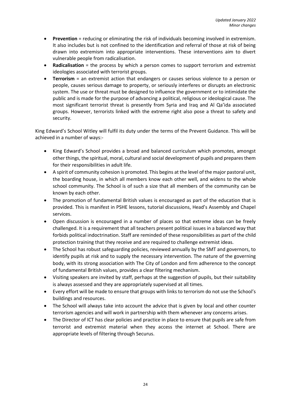- **Prevention** = reducing or eliminating the risk of individuals becoming involved in extremism. It also includes but is not confined to the identification and referral of those at risk of being drawn into extremism into appropriate interventions. These interventions aim to divert vulnerable people from radicalisation.
- **Radicalisation** = the process by which a person comes to support terrorism and extremist ideologies associated with terrorist groups.
- **Terrorism** = an extremist action that endangers or causes serious violence to a person or people, causes serious damage to property, or seriously interferes or disrupts an electronic system. The use or threat must be designed to influence the government or to intimidate the public and is made for the purpose of advancing a political, religious or ideological cause. The most significant terrorist threat is presently from Syria and Iraq and Al Qa'ida associated groups. However, terrorists linked with the extreme right also pose a threat to safety and security.

King Edward's School Witley will fulfil its duty under the terms of the Prevent Guidance. This will be achieved in a number of ways:-

- King Edward's School provides a broad and balanced curriculum which promotes, amongst other things, the spiritual, moral, cultural and social development of pupils and prepares them for their responsibilities in adult life.
- A spirit of community cohesion is promoted. This begins at the level of the major pastoral unit, the boarding house, in which all members know each other well, and widens to the whole school community. The School is of such a size that all members of the community can be known by each other.
- The promotion of fundamental British values is encouraged as part of the education that is provided. This is manifest in PSHE lessons, tutorial discussions, Head's Assembly and Chapel services.
- Open discussion is encouraged in a number of places so that extreme ideas can be freely challenged. It is a requirement that all teachers present political issues in a balanced way that forbids political indoctrination. Staff are reminded of these responsibilities as part of the child protection training that they receive and are required to challenge extremist ideas.
- The School has robust safeguarding policies, reviewed annually by the SMT and governors, to identify pupils at risk and to supply the necessary intervention. The nature of the governing body, with its strong association with The City of London and firm adherence to the concept of fundamental British values, provides a clear filtering mechanism.
- Visiting speakers are invited by staff, perhaps at the suggestion of pupils, but their suitability is always assessed and they are appropriately supervised at all times.
- Every effort will be made to ensure that groups with links to terrorism do not use the School's buildings and resources.
- The School will always take into account the advice that is given by local and other counter terrorism agencies and will work in partnership with them whenever any concerns arises.
- The Director of ICT has clear policies and practice in place to ensure that pupils are safe from terrorist and extremist material when they access the internet at School. There are appropriate levels of filtering through Securus.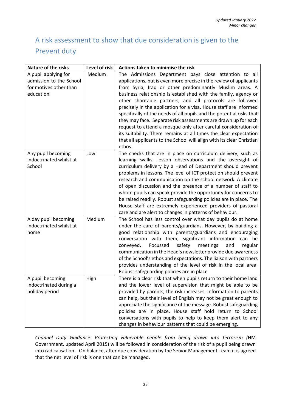## <span id="page-24-0"></span>A risk assessment to show that due consideration is given to the Prevent duty

| <b>Nature of the risks</b>                                                             | Level of risk | Actions taken to minimise the risk                                                                                                                                                                                                                                                                                                                                                                                                                                                                                                                                                                                                                                                                                                                              |
|----------------------------------------------------------------------------------------|---------------|-----------------------------------------------------------------------------------------------------------------------------------------------------------------------------------------------------------------------------------------------------------------------------------------------------------------------------------------------------------------------------------------------------------------------------------------------------------------------------------------------------------------------------------------------------------------------------------------------------------------------------------------------------------------------------------------------------------------------------------------------------------------|
| A pupil applying for<br>admission to the School<br>for motives other than<br>education | Medium        | The Admissions Department pays close attention to all<br>applications, but is even more precise in the review of applicants<br>from Syria, Iraq or other predominantly Muslim areas. A<br>business relationship is established with the family, agency or<br>other charitable partners, and all protocols are followed<br>precisely in the application for a visa. House staff are informed<br>specifically of the needs of all pupils and the potential risks that<br>they may face. Separate risk assessments are drawn up for each<br>request to attend a mosque only after careful consideration of<br>its suitability. There remains at all times the clear expectation<br>that all applicants to the School will align with its clear Christian<br>ethos. |
| Any pupil becoming<br>indoctrinated whilst at<br>School                                | Low           | The checks that are in place on curriculum delivery, such as<br>learning walks, lesson observations and the oversight of<br>curriculum delivery by a Head of Department should prevent<br>problems in lessons. The level of ICT protection should prevent<br>research and communication on the school network. A climate<br>of open discussion and the presence of a number of staff to<br>whom pupils can speak provide the opportunity for concerns to<br>be raised readily. Robust safeguarding policies are in place. The<br>House staff are extremely experienced providers of pastoral<br>care and are alert to changes in patterns of behaviour.                                                                                                         |
| A day pupil becoming<br>indoctrinated whilst at<br>home                                | Medium        | The School has less control over what day pupils do at home<br>under the care of parents/guardians. However, by building a<br>good relationship with parents/guardians and encouraging<br>conversation with them, significant information<br>can be<br>Focussed<br>safety<br>meetings<br>conveyed.<br>and<br>regular<br>communication in the Head's newsletter provide due awareness<br>of the School's ethos and expectations. The liaison with partners<br>provides understanding of the level of risk in the local area.<br>Robust safeguarding policies are in place                                                                                                                                                                                        |
| A pupil becoming<br>indoctrinated during a<br>holiday period                           | High          | There is a clear risk that when pupils return to their home land<br>and the lower level of supervision that might be able to be<br>provided by parents, the risk increases. Information to parents<br>can help, but their level of English may not be great enough to<br>appreciate the significance of the message. Robust safeguarding<br>policies are in place. House staff hold return to School<br>conversations with pupils to help to keep them alert to any<br>changes in behaviour patterns that could be emerging.                                                                                                                                                                                                                                    |

*Channel Duty Guidance*: *Protecting vulnerable people from being drawn into terrorism (*HM Government, updated April 2015) will be followed in consideration of the risk of a pupil being drawn into radicalisation. On balance, after due consideration by the Senior Management Team it is agreed that the net level of risk is one that can be managed.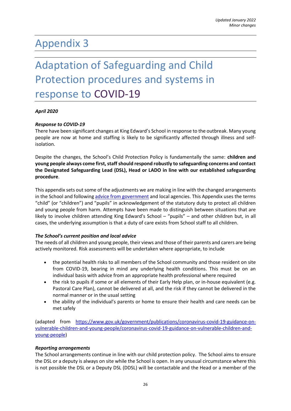## <span id="page-25-0"></span>Appendix 3

## <span id="page-25-1"></span>Adaptation of Safeguarding and Child Protection procedures and systems in response to COVID-19

### *April 2020*

### *Response to COVID-19*

There have been significant changes at King Edward's School in response to the outbreak. Many young people are now at home and staffing is likely to be significantly affected through illness and selfisolation.

Despite the changes, the School's Child Protection Policy is fundamentally the same: **children and young people always come first, staff should respond robustly to safeguarding concerns and contact the Designated Safeguarding Lead (DSL), Head or LADO in line with our established safeguarding procedure**.

This appendix sets out some of the adjustments we are making in line with the changed arrangements in the School and followin[g advice from government](https://www.gov.uk/government/publications/covid-19-safeguarding-in-schools-colleges-and-other-providers/coronavirus-covid-19-safeguarding-in-schools-colleges-and-other-providers) and local agencies. This Appendix uses the terms "child" (or "children") and "pupils" in acknowledgement of the statutory duty to protect all children and young people from harm. Attempts have been made to distinguish between situations that are likely to involve children attending King Edward's School – "pupils" – and other children but, in all cases, the underlying assumption is that a duty of care exists from School staff to all children.

#### *The School's current position and local advice*

The needs of all children and young people, their views and those of their parents and carers are being actively monitored. Risk assessments will be undertaken where appropriate, to include

- the potential health risks to all members of the School community and those resident on site from COVID-19, bearing in mind any underlying health conditions. This must be on an individual basis with advice from an appropriate health professional where required
- the risk to pupils if some or all elements of their Early Help plan, or in-house equivalent (e.g. Pastoral Care Plan), cannot be delivered at all, and the risk if they cannot be delivered in the normal manner or in the usual setting
- the ability of the individual's parents or home to ensure their health and care needs can be met safely

(adapted from [https://www.gov.uk/government/publications/coronavirus-covid-19-guidance-on](https://urlsand.esvalabs.com/?u=https%3A%2F%2Fwww.gov.uk%2Fgovernment%2Fpublications%2Fcoronavirus-covid-19-guidance-on-vulnerable-children-and-young-people%2Fcoronavirus-covid-19-guidance-on-vulnerable-children-and-young-people&e=fe2115df&h=4bd0a590&f=y&p=n)[vulnerable-children-and-young-people/coronavirus-covid-19-guidance-on-vulnerable-children-and](https://urlsand.esvalabs.com/?u=https%3A%2F%2Fwww.gov.uk%2Fgovernment%2Fpublications%2Fcoronavirus-covid-19-guidance-on-vulnerable-children-and-young-people%2Fcoronavirus-covid-19-guidance-on-vulnerable-children-and-young-people&e=fe2115df&h=4bd0a590&f=y&p=n)[young-people\)](https://urlsand.esvalabs.com/?u=https%3A%2F%2Fwww.gov.uk%2Fgovernment%2Fpublications%2Fcoronavirus-covid-19-guidance-on-vulnerable-children-and-young-people%2Fcoronavirus-covid-19-guidance-on-vulnerable-children-and-young-people&e=fe2115df&h=4bd0a590&f=y&p=n)

#### *Reporting arrangements*

The School arrangements continue in line with our child protection policy. The School aims to ensure the DSL or a deputy is always on site while the School is open. In any unusual circumstance where this is not possible the DSL or a Deputy DSL (DDSL) will be contactable and the Head or a member of the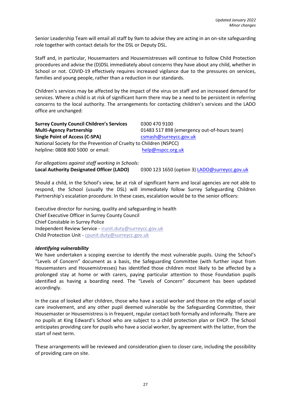Senior Leadership Team will email all staff by 9am to advise they are acting in an on-site safeguarding role together with contact details for the DSL or Deputy DSL.

Staff and, in particular, Housemasters and Housemistresses will continue to follow Child Protection procedures and advise the (D)DSL immediately about concerns they have about any child, whether in School or not. COVID-19 effectively requires increased vigilance due to the pressures on services, families and young people, rather than a reduction in our standards.

Children's services may be affected by the impact of the virus on staff and an increased demand for services. Where a child is at risk of significant harm there may be a need to be persistent in referring concerns to the local authority. The arrangements for contacting children's services and the LADO office are unchanged:

| <b>Surrey County Council Children's Services</b>                   | 0300 470 9100                               |  |  |
|--------------------------------------------------------------------|---------------------------------------------|--|--|
| <b>Multi-Agency Partnership</b>                                    | 01483 517 898 (emergency out-of-hours team) |  |  |
| <b>Single Point of Access (C-SPA)</b>                              | csmash@surreycc.gov.uk                      |  |  |
| National Society for the Prevention of Cruelty to Children (NSPCC) |                                             |  |  |
| helpline: 0808 800 5000 or email:                                  | help@nspcc.org.uk                           |  |  |

*For allegations against staff working in Schools:* **Local Authority Designated Officer (LADO)** 0300 123 1650 (option 3) [LADO@surreycc.gov.uk](mailto:LADO@surreycc.gov.uk)

Should a child, in the School's view, be at risk of significant harm and local agencies are not able to respond, the School (usually the DSL) will immediately follow Surrey Safeguarding Children Partnership's escalation procedure. In these cases, escalation would be to the senior officers:

Executive director for nursing, quality and safeguarding in health Chief Executive Officer in Surrey County Council Chief Constable in Surrey Police Independent Review Service - [irunit.duty@surreycc.gov.uk](mailto:irunit.duty@surreycc.gov.uk) Child Protection Unit - [cpunit.duty@surreycc.gov.uk](mailto:cpunit.duty@surreycc.gov.uk)

#### *Identifying vulnerability*

We have undertaken a scoping exercise to identify the most vulnerable pupils. Using the School's "Levels of Concern" document as a basis, the Safeguarding Committee (with further input from Housemasters and Housemistresses) has identified those children most likely to be affected by a prolonged stay at home or with carers, paying particular attention to those Foundation pupils identified as having a boarding need. The "Levels of Concern" document has been updated accordingly.

In the case of looked after children, those who have a social worker and those on the edge of social care involvement, and any other pupil deemed vulnerable by the Safeguarding Committee, their Housemaster or Housemistress is in frequent, regular contact both formally and informally. There are no pupils at King Edward's School who are subject to a child protection plan or EHCP. The School anticipates providing care for pupils who have a social worker, by agreement with the latter, from the start of next term.

These arrangements will be reviewed and consideration given to closer care, including the possibility of providing care on site.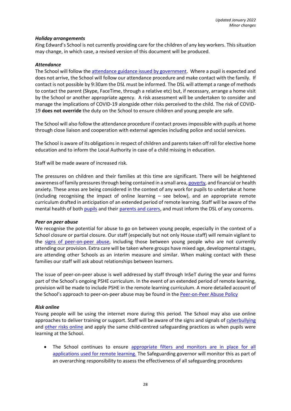### *Holiday arrangements*

*Ki*ng Edward's School is not currently providing care for the children of any key workers. This situation may change, in which case, a revised version of this document will be produced.

### *Attendance*

The School will follow the [attendance guidance issued by government.](https://www.gov.uk/government/publications/coronavirus-covid-19-attendance-recording-for-educational-settings) Where a pupil is expected and does not arrive, the School will follow our attendance procedure and make contact with the family. If contact is not possible by 9:30am the DSL must be informed. The DSL will attempt a range of methods to contact the parent (Skype, FaceTime, through a relative etc) but, if necessary, arrange a home visit by the School or another appropriate agency. A risk assessment will be undertaken to consider and manage the implications of COVID-19 alongside other risks perceived to the child. The risk of COVID-19 **does not override** the duty on the School to ensure children and young people are safe.

The School will also follow the attendance procedure if contact proves impossible with pupils at home through close liaison and cooperation with external agencies including police and social services.

The School is aware of its obligations in respect of children and parents taken off roll for elective home education and to inform the Local Authority in case of a child missing in education.

Staff will be made aware of increased risk.

The pressures on children and their families at this time are significant. There will be heightened awareness of family pressures through being contained in a small area[, poverty,](file:///C:/Users/Christine/AppData/Local/Microsoft/Windows/INetCache/Content.Outlook/0CGV3O2R/safeguarding.network/poverty) and financial or health anxiety. These areas are being considered in the context of any work for pupils to undertake at home (including recognising the impact of online learning – see below), and an appropriate remote curriculum drafted in anticipation of an extended period of remote learning. Staff will be aware of the mental health of both [pupils](https://safeguarding.network/safeguarding-resources/specific-risks-children-additional-needs/mental-health/) and thei[r parents and carers,](https://safeguarding.network/safeguarding-resources/parental-issues/parental-mental-ill-health/) and must inform the DSL of any concerns.

#### *Peer on peer abuse*

We recognise the potential for abuse to go on between young people, especially in the context of a School closure or partial closure. Our staff (especially but not only House staff) will remain vigilant to the [signs of peer-on-peer abuse,](file:///C:/Users/Christine/AppData/Local/Microsoft/Windows/INetCache/Content.Outlook/0CGV3O2R/safeguarding.network/peer-on-peer) including those between young people who are not currently attending our provision. Extra care will be taken where groups have mixed age, developmental stages, are attending other Schools as an interim measure and similar. When making contact with these families our staff will ask about relationships between learners.

The issue of peer-on-peer abuse is well addressed by staff through InSeT during the year and forms part of the School's ongoing PSHE curriculum. In the event of an extended period of remote learning, provision will be made to include PSHE in the remote learning curriculum. A more detailed account of the School's approach to peer-on-peer abuse may be found in th[e Peer-on-Peer Abuse Policy](https://www.kesw.org/wp-content/uploads/2021/04/Peer-on-Peer-Abuse-Policy-DRAFT.pdf)

#### *Risk online*

Young people will be using the internet more during this period. The School may also use online approaches to deliver training or support. Staff will be aware of the signs and signals of [cyberbullying](file:///C:/Users/Christine/AppData/Local/Microsoft/Windows/INetCache/Content.Outlook/0CGV3O2R/safeguarding.network/cyberbullying) and [other risks online](https://safeguarding.network/safeguarding-resources/online-safety/) and apply the same child-centred safeguarding practices as when pupils were learning at the School.

• The School continues to ensure [appropriate filters and monitors are in place](https://www.saferinternet.org.uk/advice-centre/teachers-and-school-staff/appropriate-filtering-and-monitoring) for all applications used for remote learning. The Safeguarding governor will monitor this as part of an overarching responsibility to assess the effectiveness of all safeguarding procedures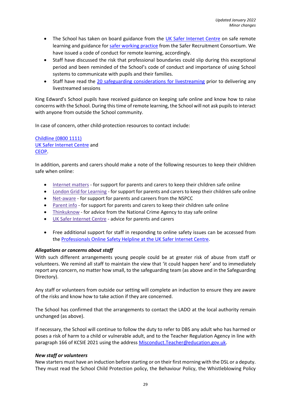- The School has taken on board guidance from the [UK Safer Internet Centre](https://swgfl.org.uk/resources/safe-remote-learning/) on safe remote learning and guidance for [safer working practice](https://www.saferrecruitmentconsortium.org/GSWP%20Sept%202019.pdf) from the Safer Recruitment Consortium. We have issued a code of conduct for remote learning, accordingly.
- Staff have discussed the risk that professional boundaries could slip during this exceptional period and been reminded of the School's code of conduct and importance of using School systems to communicate with pupils and their families.
- Staff have read the [20 safeguarding considerations for livestreaming](https://static.lgfl.net/LgflNet/downloads/digisafe/Safe-Lessons-by-Video-and-Livestream.pdf) prior to delivering any livestreamed sessions

King Edward's School pupils have received guidance on keeping safe online and know how to raise concerns with the School. During this time of remote learning, the School will not ask pupils to interact with anyone from outside the School community.

In case of concern, other child-protection resources to contact include:

[Childline](https://www.childline.org.uk/?utm_source=google&utm_medium=cpc&utm_campaign=UK_GO_S_B_BND_Grant_Childline_Information&utm_term=role_of_childline&gclsrc=aw.ds&&gclid=EAIaIQobChMIlfLRh-ez6AIVRrDtCh1N9QR2EAAYASAAEgLc-vD_BwE&gclsrc=aw.ds) (0800 1111) [UK Safer Internet Centre](https://reportharmfulcontent.com/) and [CEOP.](https://www.ceop.police.uk/safety-centre/)

In addition, parents and carers should make a note of the following resources to keep their children safe when online:

- [Internet](https://www.internetmatters.org/?gclid=EAIaIQobChMIktuA5LWK2wIVRYXVCh2afg2aEAAYASAAEgIJ5vD_BwE) matters for support for parents and carers to keep their children safe online
- London Grid for [Learning](http://www.lgfl.net/online-safety/) for support for parents and carers to keep their children safe online
- [Net-aware](https://www.net-aware.org.uk/) for support for parents and careers from the NSPCC
- [Parent](https://parentinfo.org/) info for support for parents and carers to keep their children safe online
- [Thinkuknow](http://www.thinkuknow.co.uk/) for advice from the National Crime Agency to stay safe online
- UK Safer [Internet](https://www.saferinternet.org.uk/advice-centre/parents-and-carers) Centre advice for parents and carers
- Free additional support for staff in responding to online safety issues can be accessed from th[e Professionals Online Safety Helpline at the UK Safer Internet Centre.](https://www.saferinternet.org.uk/helpline/professionals-online-safety-helpline)

#### *Allegations or concerns about staff*

With such different arrangements young people could be at greater risk of abuse from staff or volunteers. We remind all staff to maintain the view that 'it could happen here' and to immediately report any concern, no matter how small, to the safeguarding team (as above and in the Safeguarding Directory).

Any staff or volunteers from outside our setting will complete an induction to ensure they are aware of the risks and know how to take action if they are concerned.

The School has confirmed that the arrangements to contact the LADO at the local authority remain unchanged (as above).

If necessary, the School will continue to follow the duty to refer to DBS any adult who has harmed or poses a risk of harm to a child or vulnerable adult, and to the Teacher Regulation Agency in line with paragraph 166 of KCSIE 2021 using the address [Misconduct.Teacher@education.gov.uk.](mailto:Misconduct.Teacher@education.gov.uk)

#### *New staff or volunteers*

New starters must have an induction before starting or on their first morning with the DSL or a deputy. They must read the School Child Protection policy, the Behaviour Policy, the Whistleblowing Policy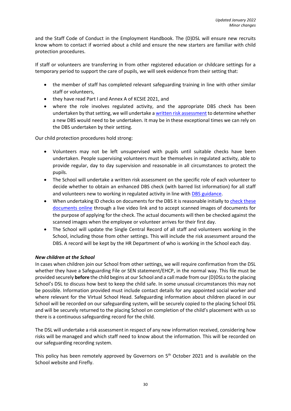and the Staff Code of Conduct in the Employment Handbook. The (D)DSL will ensure new recruits know whom to contact if worried about a child and ensure the new starters are familiar with child protection procedures.

If staff or volunteers are transferring in from other registered education or childcare settings for a temporary period to support the care of pupils, we will seek evidence from their setting that:

- the member of staff has completed relevant safeguarding training in line with other similar staff or volunteers,
- they have read Part I and Annex A of KCSIE 2021, and
- where the role involves regulated activity, and the appropriate DBS check has been undertaken by that setting, we will undertake a [written risk assessment](https://www.saferrecruitmentconsortium.org/Risk%20Assessment%20for%20Volunteers%20PRINT%20VERSION%20Wardell%20Associates.docx) to determine whether a new DBS would need to be undertaken. It may be in these exceptional times we can rely on the DBS undertaken by their setting.

Our child protection procedures hold strong:

- Volunteers may not be left unsupervised with pupils until suitable checks have been undertaken. People supervising volunteers must be themselves in regulated activity, able to provide regular, day to day supervision and reasonable in all circumstances to protect the pupils.
- The School will undertake a written risk assessment on the specific role of each volunteer to decide whether to obtain an enhanced DBS check (with barred list information) for all staff and volunteers new to working in regulated activity in line with [DBS guidance.](https://www.gov.uk/government/collections/dbs-eligibility-guidance)
- When undertaking ID checks on documents for the DBS it is reasonable initially to check these [documents online](https://www.gov.uk/government/news/covid-19-changes-to-dbs-id-checking-guidelines) through a live video link and to accept scanned images of documents for the purpose of applying for the check. The actual documents will then be checked against the scanned images when the employee or volunteer arrives for their first day.
- The School will update the Single Central Record of all staff and volunteers working in the School, including those from other settings. This will include the risk assessment around the DBS. A record will be kept by the HR Department of who is working in the School each day.

### *New children at the School*

In cases when children join our School from other settings, we will require confirmation from the DSL whether they have a Safeguarding File or SEN statement/EHCP, in the normal way. This file must be provided securely **before** the child begins at our School and a call made from our (D)DSLs to the placing School's DSL to discuss how best to keep the child safe. In some unusual circumstances this may not be possible. Information provided must include contact details for any appointed social worker and where relevant for the Virtual School Head. Safeguarding information about children placed in our School will be recorded on our safeguarding system, will be securely copied to the placing School DSL and will be securely returned to the placing School on completion of the child's placement with us so there is a continuous safeguarding record for the child.

The DSL will undertake a risk assessment in respect of any new information received, considering how risks will be managed and which staff need to know about the information. This will be recorded on our safeguarding recording system.

This policy has been remotely approved by Governors on 5<sup>th</sup> October 2021 and is available on the School website and Firefly.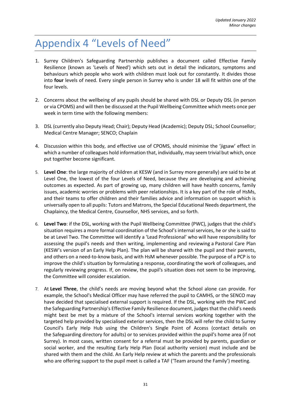## <span id="page-30-0"></span>Appendix 4 "Levels of Need"

- 1. Surrey Children's Safeguarding Partnership publishes a document called Effective Family Resilience (known as 'Levels of Need') which sets out in detail the indicators, symptoms and behaviours which people who work with children must look out for constantly. It divides those into **four** levels of need. Every single person in Surrey who is under 18 will fit within one of the four levels.
- 2. Concerns about the wellbeing of any pupils should be shared with DSL or Deputy DSL (in person or via CPOMS) and will then be discussed at the Pupil Wellbeing Committee which meets once per week in term time with the following members:
- 3. DSL (currently also Deputy Head; Chair); Deputy Head (Academic); Deputy DSL; School Counsellor; Medical Centre Manager; SENCO; Chaplain
- 4. Discussion within this body, and effective use of CPOMS, should minimise the 'jigsaw' effect in which a number of colleagues hold information that, individually, may seem trivial but which, once put together become significant.
- 5. **Level One**: the large majority of children at KESW (and in Surrey more generally) are said to be at Level One, the lowest of the four Levels of Need, because they are developing and achieving outcomes as expected. As part of growing up, many children will have health concerns, family issues, academic worries or problems with peer relationships. It is a key part of the role of HsMs, and their teams to offer children and their families advice and information on support which is universally open to all pupils: Tutors and Matrons, the Special Educational Needs department, the Chaplaincy, the Medical Centre, Counsellor, NHS services, and so forth.
- 6. **Level Two**: if the DSL, working with the Pupil Wellbeing Committee (PWC), judges that the child's situation requires a more formal coordination of the School's internal services, he or she is said to be at Level Two. The Committee will identify a 'Lead Professional' who will have responsibility for assessing the pupil's needs and then writing, implementing and reviewing a Pastoral Care Plan (KESW's version of an Early Help Plan). The plan will be shared with the pupil and their parents, and others on a need-to-know basis, and with HsM whenever possible. The purpose of a PCP is to improve the child's situation by formulating a response, coordinating the work of colleagues, and regularly reviewing progress. If, on review, the pupil's situation does not seem to be improving, the Committee will consider escalation.
- 7. At **Level Three**, the child's needs are moving beyond what the School alone can provide. For example, the School's Medical Officer may have referred the pupil to CAMHS, or the SENCO may have decided that specialised external support is required. If the DSL, working with the PWC and the Safeguarding Partnership's Effective Family Resilience document, judges that the child's needs might best be met by a mixture of the School's internal services working together with the targeted help provided by specialised exterior services, then the DSL will refer the child to Surrey Council's Early Help Hub using the Children's Single Point of Access (contact details on the Safeguarding directory for adults) or to services provided within the pupil's home area (if not Surrey). In most cases, written consent for a referral must be provided by parents, guardian or social worker, and the resulting Early Help Plan (local authority version) must include and be shared with them and the child. An Early Help review at which the parents and the professionals who are offering support to the pupil meet is called a TAF ('Team around the Family') meeting.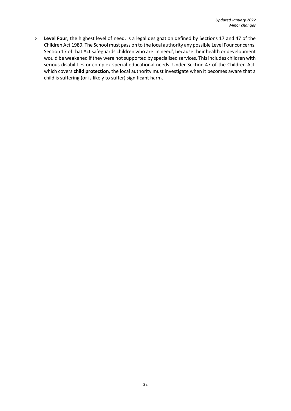8. **Level Four**, the highest level of need, is a legal designation defined by Sections 17 and 47 of the Children Act 1989. The School must pass on to the local authority any possible Level Four concerns. Section 17 of that Act safeguards children who are 'in need', because their health or development would be weakened if they were not supported by specialised services. This includes children with serious disabilities or complex special educational needs. Under Section 47 of the Children Act, which covers **child protection**, the local authority must investigate when it becomes aware that a child is suffering (or is likely to suffer) significant harm.